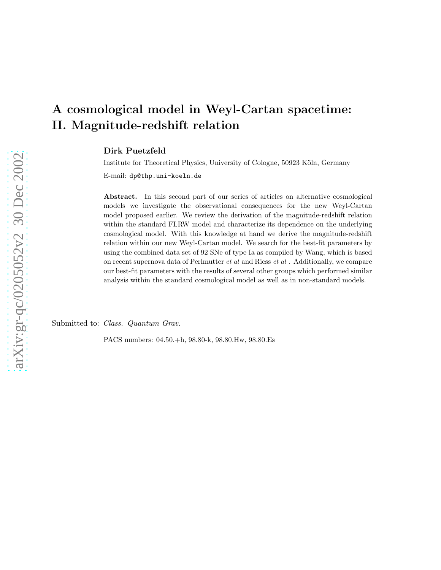# A cosmological model in Weyl-Cartan spacetime: II. Magnitude-redshift relation

Dirk Puetzfeld

Institute for Theoretical Physics, University of Cologne, 50923 Köln, Germany

E-mail: dp@thp.uni-koeln.de

Abstract. In this second part of our series of articles on alternative cosmological models we investigate the observational consequences for the new Weyl-Cartan model proposed earlier. We review the derivation of the magnitude-redshift relation within the standard FLRW model and characterize its dependence on the underlying cosmological model. With this knowledge at hand we derive the magnitude-redshift relation within our new Weyl-Cartan model. We search for the best-fit parameters by using the combined data set of 92 SNe of type Ia as compiled by Wang, which is based on recent supernova data of Perlmutter et al and Riess et al . Additionally, we compare our best-fit parameters with the results of several other groups which performed similar analysis within the standard cosmological model as well as in non-standard models.

Submitted to: *Class. Quantum Grav.* 

PACS numbers: 04.50.+h, 98.80-k, 98.80.Hw, 98.80.Es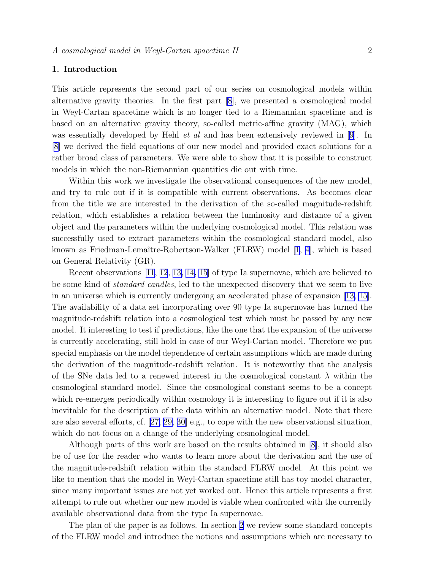# 1. Introduction

This article represents the second part of our series on cosmological models within alternative gravity theories. In the first part [\[8](#page-21-0)], we presented a cosmological model in Weyl-Cartan spacetime which is no longer tied to a Riemannian spacetime and is based on an alternative gravity theory, so-called metric-affine gravity (MAG), which was essentially developed by Hehl *et al* and has been extensively reviewed in [\[9](#page-21-0)]. In [\[8](#page-21-0)] we derived the field equations of our new model and provided exact solutions for a rather broad class of parameters. We were able to show that it is possible to construct models in which the non-Riemannian quantities die out with time.

Within this work we investigate the observational consequences of the new model, and try to rule out if it is compatible with current observations. As becomes clear from the title we are interested in the derivation of the so-called magnitude-redshift relation, which establishes a relation between the luminosity and distance of a given object and the parameters within the underlying cosmological model. This relation was successfully used to extract parameters within the cosmological standard model, also known as Friedman-Lemaître-Robertson-Walker (FLRW) model [\[1](#page-20-0), [4\]](#page-20-0), which is based on General Relativity (GR).

Recent observations [\[11, 12](#page-21-0), [13, 14, 15](#page-21-0)] of type Ia supernovae, which are believed to be some kind of *standard candles*, led to the unexpected discovery that we seem to live in an universe which is currently undergoing an accelerated phase of expansion[[13, 15](#page-21-0)]. The availability of a data set incorporating over 90 type Ia supernovae has turned the magnitude-redshift relation into a cosmological test which must be passed by any new model. It interesting to test if predictions, like the one that the expansion of the universe is currently accelerating, still hold in case of our Weyl-Cartan model. Therefore we put special emphasis on the model dependence of certain assumptions which are made during the derivation of the magnitude-redshift relation. It is noteworthy that the analysis of the SNe data led to a renewed interest in the cosmological constant  $\lambda$  within the cosmological standard model. Since the cosmological constant seems to be a concept which re-emerges periodically within cosmology it is interesting to figure out if it is also inevitable for the description of the data within an alternative model. Note that there are also several efforts, cf.[[27, 29, 30](#page-21-0)] e.g., to cope with the new observational situation, which do not focus on a change of the underlying cosmological model.

Although parts of this work are based on the results obtained in [\[8\]](#page-21-0), it should also be of use for the reader who wants to learn more about the derivation and the use of the magnitude-redshift relation within the standard FLRW model. At this point we like to mention that the model in Weyl-Cartan spacetime still has toy model character, since many important issues are not yet worked out. Hence this article represents a first attempt to rule out whether our new model is viable when confronted with the currently available observational data from the type Ia supernovae.

The plan of the paper is as follows. In section [2](#page-2-0) we review some standard concepts of the FLRW model and introduce the notions and assumptions which are necessary to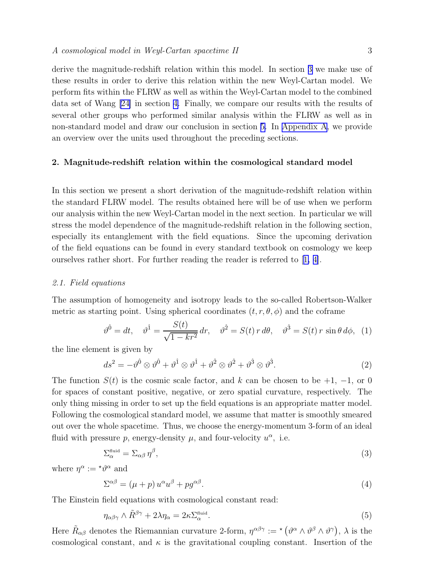<span id="page-2-0"></span>derive the magnitude-redshift relation within this model. In section [3](#page-9-0) we make use of these results in order to derive this relation within the new Weyl-Cartan model. We perform fits within the FLRW as well as within the Weyl-Cartan model to the combined data set of Wang [\[24\]](#page-21-0) in section [4.](#page-11-0) Finally, we compare our results with the results of several other groups who performed similar analysis within the FLRW as well as in non-standard model and draw our conclusion in section [5.](#page-13-0) In [Appendix A](#page-20-0), we provide an overview over the units used throughout the preceding sections.

# 2. Magnitude-redshift relation within the cosmological standard model

In this section we present a short derivation of the magnitude-redshift relation within the standard FLRW model. The results obtained here will be of use when we perform our analysis within the new Weyl-Cartan model in the next section. In particular we will stress the model dependence of the magnitude-redshift relation in the following section, especially its entanglement with the field equations. Since the upcoming derivation of the field equations can be found in every standard textbook on cosmology we keep ourselves rather short. For further reading the reader is referred to[[1, 4\]](#page-20-0).

## 2.1. Field equations

The assumption of homogeneity and isotropy leads to the so-called Robertson-Walker metric as starting point. Using spherical coordinates  $(t, r, \theta, \phi)$  and the coframe

$$
\vartheta^{\hat{0}} = dt, \quad \vartheta^{\hat{1}} = \frac{S(t)}{\sqrt{1 - kr^2}} dr, \quad \vartheta^{\hat{2}} = S(t) r d\theta, \quad \vartheta^{\hat{3}} = S(t) r \sin \theta d\phi, \tag{1}
$$

the line element is given by

$$
ds^{2} = -\vartheta^{0} \otimes \vartheta^{0} + \vartheta^{1} \otimes \vartheta^{1} + \vartheta^{2} \otimes \vartheta^{2} + \vartheta^{3} \otimes \vartheta^{3}.
$$
 (2)

The function  $S(t)$  is the cosmic scale factor, and k can be chosen to be  $+1$ ,  $-1$ , or 0 for spaces of constant positive, negative, or zero spatial curvature, respectively. The only thing missing in order to set up the field equations is an appropriate matter model. Following the cosmological standard model, we assume that matter is smoothly smeared out over the whole spacetime. Thus, we choose the energy-momentum 3-form of an ideal fluid with pressure p, energy-density  $\mu$ , and four-velocity  $u^{\alpha}$ , i.e.

$$
\Sigma_{\alpha}^{\text{fluid}} = \Sigma_{\alpha\beta} \eta^{\beta},\tag{3}
$$

where  $\eta^{\alpha} := {}^{\star}\vartheta^{\alpha}$  and

$$
\Sigma^{\alpha\beta} = (\mu + p) u^{\alpha} u^{\beta} + p g^{\alpha\beta}.
$$
\n(4)

The Einstein field equations with cosmological constant read:

$$
\eta_{\alpha\beta\gamma} \wedge \tilde{R}^{\beta\gamma} + 2\lambda \eta_{\alpha} = 2\kappa \Sigma_{\alpha}^{\text{fluid}}.
$$
\n
$$
(5)
$$

Here  $\tilde{R}_{\alpha\beta}$  denotes the Riemannian curvature 2-form,  $\eta^{\alpha\beta\gamma} := \star (\vartheta^{\alpha} \wedge \vartheta^{\beta} \wedge \vartheta^{\gamma}), \lambda$  is the cosmological constant, and  $\kappa$  is the gravitational coupling constant. Insertion of the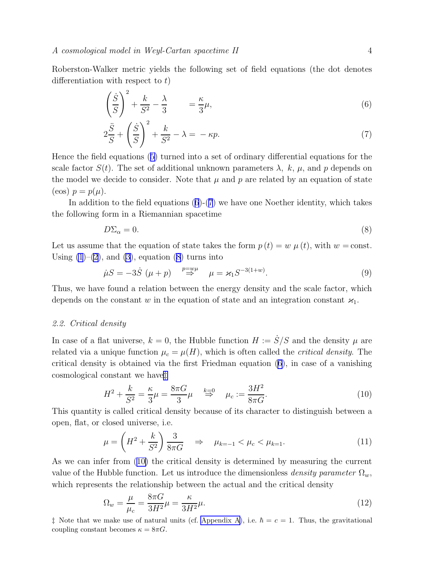<span id="page-3-0"></span>Roberston-Walker metric yields the following set of field equations (the dot denotes differentiation with respect to  $t$ )

$$
\left(\frac{\dot{S}}{S}\right)^2 + \frac{k}{S^2} - \frac{\lambda}{3} = \frac{\kappa}{3}\mu,\tag{6}
$$

$$
2\frac{\ddot{S}}{S} + \left(\frac{\dot{S}}{S}\right)^2 + \frac{k}{S^2} - \lambda = -\kappa p.
$$
 (7)

Hence the field equations([5\)](#page-2-0) turned into a set of ordinary differential equations for the scale factor  $S(t)$ . The set of additional unknown parameters  $\lambda$ , k,  $\mu$ , and p depends on the model we decide to consider. Note that  $\mu$  and p are related by an equation of state  $(\cos) p = p(\mu).$ 

In addition to the field equations  $(6)-(7)$  we have one Noether identity, which takes the following form in a Riemannian spacetime

$$
D\Sigma_{\alpha} = 0. \tag{8}
$$

Let us assume that the equation of state takes the form  $p(t) = w \mu(t)$ , with  $w = \text{const.}$ Using  $(1)$ – $(2)$  $(2)$ , and  $(3)$ , equation  $(8)$  turns into

$$
\dot{\mu}S = -3\dot{S} \ (\mu + p) \stackrel{p = w\mu}{\Rightarrow} \mu = \varkappa_1 S^{-3(1+w)}.
$$
 (9)

Thus, we have found a relation between the energy density and the scale factor, which depends on the constant w in the equation of state and an integration constant  $\varkappa_1$ .

#### 2.2. Critical density

In case of a flat universe,  $k = 0$ , the Hubble function  $H := \dot{S}/S$  and the density  $\mu$  are related via a unique function  $\mu_c = \mu(H)$ , which is often called the *critical density*. The critical density is obtained via the first Friedman equation (6), in case of a vanishing cosmological constant we have‡

$$
H^2 + \frac{k}{S^2} = \frac{\kappa}{3}\mu = \frac{8\pi G}{3}\mu \quad \stackrel{k=0}{\Rightarrow} \quad \mu_c := \frac{3H^2}{8\pi G}.\tag{10}
$$

This quantity is called critical density because of its character to distinguish between a open, flat, or closed universe, i.e.

$$
\mu = \left(H^2 + \frac{k}{S^2}\right) \frac{3}{8\pi G} \Rightarrow \mu_{k=-1} < \mu_c < \mu_{k=1}.\tag{11}
$$

As we can infer from (10) the critical density is determined by measuring the current value of the Hubble function. Let us introduce the dimensionless density parameter  $\Omega_w$ , which represents the relationship between the actual and the critical density

$$
\Omega_w = \frac{\mu}{\mu_c} = \frac{8\pi G}{3H^2}\mu = \frac{\kappa}{3H^2}\mu.
$$
\n(12)

 $\ddagger$  Note that we make use of natural units (cf. [Appendix A](#page-20-0)), i.e.  $\hbar = c = 1$ . Thus, the gravitational coupling constant becomes  $\kappa = 8\pi G$ .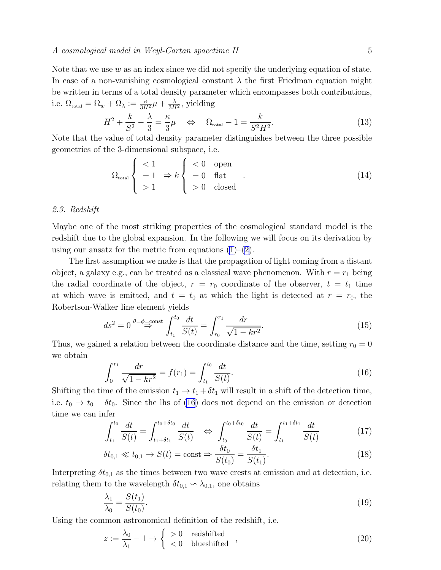<span id="page-4-0"></span>Note that we use  $w$  as an index since we did not specify the underlying equation of state. In case of a non-vanishing cosmological constant  $\lambda$  the first Friedman equation might be written in terms of a total density parameter which encompasses both contributions, i.e.  $\Omega_{\text{total}} = \Omega_w + \Omega_{\lambda} := \frac{\kappa}{3H^2} \mu + \frac{\lambda}{3H^2}$ , yielding

$$
H^2 + \frac{k}{S^2} - \frac{\lambda}{3} = \frac{\kappa}{3}\mu \quad \Leftrightarrow \quad \Omega_{\text{total}} - 1 = \frac{k}{S^2 H^2}.\tag{13}
$$

Note that the value of total density parameter distinguishes between the three possible geometries of the 3-dimensional subspace, i.e.

$$
\Omega_{\text{total}} \begin{cases} < 1 \\ = 1 \quad \Rightarrow k \\ > 1 \end{cases} \begin{cases} < 0 \quad \text{open} \\ = 0 \quad \text{flat} \\ > 0 \quad \text{closed} \end{cases} . \tag{14}
$$

## 2.3. Redshift

Maybe one of the most striking properties of the cosmological standard model is the redshift due to the global expansion. In the following we will focus on its derivation by usingour ansatz for the metric from equations  $(1)$  $(1)$ – $(2)$  $(2)$ .

The first assumption we make is that the propagation of light coming from a distant object, a galaxy e.g., can be treated as a classical wave phenomenon. With  $r = r_1$  being the radial coordinate of the object,  $r = r_0$  coordinate of the observer,  $t = t_1$  time at which wave is emitted, and  $t = t_0$  at which the light is detected at  $r = r_0$ , the Robertson-Walker line element yields

$$
ds^{2} = 0 \stackrel{\theta = \phi = \text{const}}{\Rightarrow} \int_{t_{1}}^{t_{0}} \frac{dt}{S(t)} = \int_{r_{0}}^{r_{1}} \frac{dr}{\sqrt{1 - kr^{2}}}.
$$
 (15)

Thus, we gained a relation between the coordinate distance and the time, setting  $r_0 = 0$ we obtain

$$
\int_0^{r_1} \frac{dr}{\sqrt{1 - kr^2}} = f(r_1) = \int_{t_1}^{t_0} \frac{dt}{S(t)}.
$$
\n(16)

Shifting the time of the emission  $t_1 \rightarrow t_1 + \delta t_1$  will result in a shift of the detection time, i.e.  $t_0 \rightarrow t_0 + \delta t_0$ . Since the lhs of (16) does not depend on the emission or detection time we can infer

$$
\int_{t_1}^{t_0} \frac{dt}{S(t)} = \int_{t_1 + \delta t_1}^{t_0 + \delta t_0} \frac{dt}{S(t)} \quad \Leftrightarrow \quad \int_{t_0}^{t_0 + \delta t_0} \frac{dt}{S(t)} = \int_{t_1}^{t_1 + \delta t_1} \frac{dt}{S(t)} \tag{17}
$$

$$
\delta t_{0,1} \ll t_{0,1} \to S(t) = \text{const} \Rightarrow \frac{\delta t_0}{S(t_0)} = \frac{\delta t_1}{S(t_1)}.\tag{18}
$$

Interpreting  $\delta t_{0,1}$  as the times between two wave crests at emission and at detection, i.e. relating them to the wavelength  $\delta t_{0,1} \backsim \lambda_{0,1}$ , one obtains

$$
\frac{\lambda_1}{\lambda_0} = \frac{S(t_1)}{S(t_0)}.\tag{19}
$$

Using the common astronomical definition of the redshift, i.e.

$$
z := \frac{\lambda_0}{\lambda_1} - 1 \to \begin{cases} > 0 & \text{redshifted} \\ < 0 & \text{blueshifted} \end{cases} \tag{20}
$$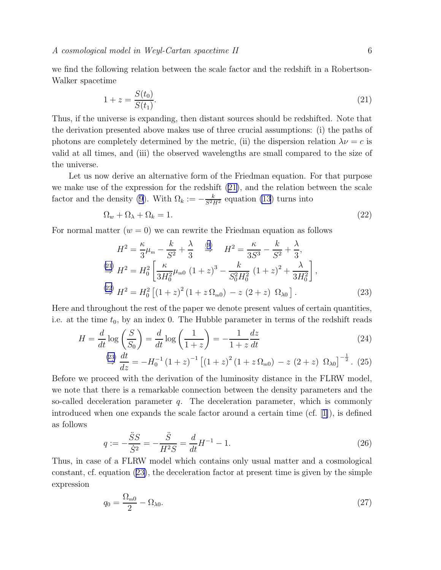<span id="page-5-0"></span>we find the following relation between the scale factor and the redshift in a Robertson-Walker spacetime

$$
1 + z = \frac{S(t_0)}{S(t_1)}.\tag{21}
$$

Thus, if the universe is expanding, then distant sources should be redshifted. Note that the derivation presented above makes use of three crucial assumptions: (i) the paths of photons are completely determined by the metric, (ii) the dispersion relation  $\lambda \nu = c$  is valid at all times, and (iii) the observed wavelengths are small compared to the size of the universe.

Let us now derive an alternative form of the Friedman equation. For that purpose we make use of the expression for the redshift (21), and the relation between the scale factor and the density [\(9](#page-3-0)). With  $\Omega_k := -\frac{k}{S^2 H^2}$  equation [\(13](#page-4-0)) turns into

$$
\Omega_w + \Omega_\lambda + \Omega_k = 1. \tag{22}
$$

For normal matter  $(w = 0)$  we can rewrite the Friedman equation as follows

$$
H^{2} = \frac{\kappa}{3}\mu_{\rm m} - \frac{k}{S^{2}} + \frac{\lambda}{3} \quad \stackrel{(9)}{\Rightarrow} \quad H^{2} = \frac{\kappa}{3S^{3}} - \frac{k}{S^{2}} + \frac{\lambda}{3},
$$
  
\n
$$
\stackrel{(21)}{\Rightarrow} H^{2} = H_{0}^{2} \left[ \frac{\kappa}{3H_{0}^{2}} \mu_{\rm m0} \left( 1 + z \right)^{3} - \frac{k}{S_{0}^{2}H_{0}^{2}} \left( 1 + z \right)^{2} + \frac{\lambda}{3H_{0}^{2}} \right],
$$
  
\n
$$
\stackrel{(22)}{\Rightarrow} H^{2} = H_{0}^{2} \left[ \left( 1 + z \right)^{2} \left( 1 + z \Omega_{\rm m0} \right) - z \left( 2 + z \right) \Omega_{\lambda 0} \right].
$$
\n(23)

Here and throughout the rest of the paper we denote present values of certain quantities, i.e. at the time  $t_0$ , by an index 0. The Hubble parameter in terms of the redshift reads

$$
H = \frac{d}{dt} \log\left(\frac{S}{S_0}\right) = \frac{d}{dt} \log\left(\frac{1}{1+z}\right) = -\frac{1}{1+z}\frac{dz}{dt}
$$
\n(24)

$$
\stackrel{(23)}{\Rightarrow} \frac{dt}{dz} = -H_0^{-1} (1+z)^{-1} \left[ (1+z)^2 (1+z \Omega_{\text{m0}}) - z (2+z) \Omega_{\lambda 0} \right]^{-\frac{1}{2}}. (25)
$$

Before we proceed with the derivation of the luminosity distance in the FLRW model, we note that there is a remarkable connection between the density parameters and the so-called deceleration parameter  $q$ . The deceleration parameter, which is commonly introduced when one expands the scale factor around a certain time (cf.[[1\]](#page-20-0)), is defined as follows

$$
q := -\frac{\ddot{S}S}{\dot{S}^2} = -\frac{\ddot{S}}{H^2S} = \frac{d}{dt}H^{-1} - 1.
$$
\n(26)

Thus, in case of a FLRW model which contains only usual matter and a cosmological constant, cf. equation (23), the deceleration factor at present time is given by the simple expression

$$
q_0 = \frac{\Omega_{\rm m0}}{2} - \Omega_{\lambda 0}.\tag{27}
$$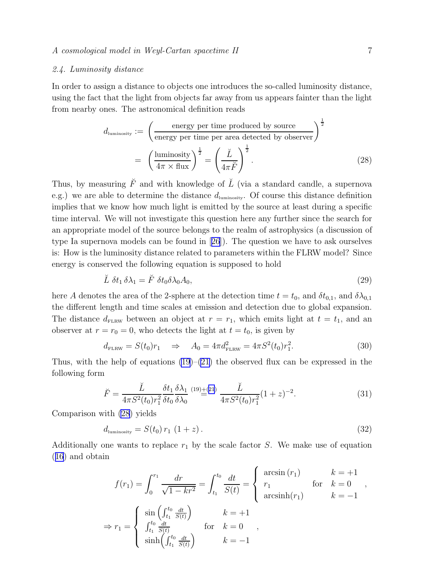### <span id="page-6-0"></span>2.4. Luminosity distance

In order to assign a distance to objects one introduces the so-called luminosity distance, using the fact that the light from objects far away from us appears fainter than the light from nearby ones. The astronomical definition reads

$$
d_{\text{luminosity}} := \left(\frac{\text{energy per time produced by source}}{\text{energy per time per area detected by observer}}\right)^{\frac{1}{2}}
$$

$$
= \left(\frac{\text{luminosity}}{4\pi \times \text{flux}}\right)^{\frac{1}{2}} = \left(\frac{\breve{L}}{4\pi \breve{F}}\right)^{\frac{1}{2}}.
$$
(28)

Thus, by measuring  $\check{F}$  and with knowledge of  $\check{L}$  (via a standard candle, a supernova e.g.) we are able to determine the distance  $d_{\text{luminosity}}$ . Of course this distance definition implies that we know how much light is emitted by the source at least during a specific time interval. We will not investigate this question here any further since the search for an appropriate model of the source belongs to the realm of astrophysics (a discussion of type Ia supernova models can be found in[[26](#page-21-0)]). The question we have to ask ourselves is: How is the luminosity distance related to parameters within the FLRW model? Since energy is conserved the following equation is supposed to hold

$$
\breve{L} \ \delta t_1 \, \delta \lambda_1 = \breve{F} \ \delta t_0 \delta \lambda_0 A_0,\tag{29}
$$

here A denotes the area of the 2-sphere at the detection time  $t = t_0$ , and  $\delta t_{0,1}$ , and  $\delta \lambda_{0,1}$ the different length and time scales at emission and detection due to global expansion. The distance  $d_{\text{FLRW}}$  between an object at  $r = r_1$ , which emits light at  $t = t_1$ , and an observer at  $r = r_0 = 0$ , who detects the light at  $t = t_0$ , is given by

$$
d_{\text{FLRW}} = S(t_0)r_1 \quad \Rightarrow \quad A_0 = 4\pi d_{\text{FLRW}}^2 = 4\pi S^2(t_0)r_1^2. \tag{30}
$$

Thus, with the help of equations  $(19)$ – $(21)$  the observed flux can be expressed in the following form

$$
\breve{F} = \frac{\breve{L}}{4\pi S^2(t_0)r_1^2} \frac{\delta t_1}{\delta t_0} \frac{\delta \lambda_1}{\delta \lambda_0} \stackrel{(19)\pm(21)}{=} \frac{\breve{L}}{4\pi S^2(t_0)r_1^2} (1+z)^{-2}.
$$
\n(31)

Comparison with (28) yields

$$
d_{\text{luminosity}} = S(t_0) r_1 (1 + z). \tag{32}
$$

Additionally one wants to replace  $r_1$  by the scale factor S. We make use of equation ([16](#page-4-0)) and obtain

$$
f(r_1) = \int_0^{r_1} \frac{dr}{\sqrt{1 - kr^2}} = \int_{t_1}^{t_0} \frac{dt}{S(t)} = \begin{cases} \arcsin(r_1) & k = +1 \\ r_1 & \text{for } k = 0 \\ \arcsin(r_1) & k = -1 \end{cases},
$$
  
\n
$$
\Rightarrow r_1 = \begin{cases} \sin\left(\int_{t_1}^{t_0} \frac{dt}{S(t)}\right) & k = +1 \\ \int_{t_1}^{t_0} \frac{dt}{S(t)} & \text{for } k = 0 \\ \sinh\left(\int_{t_1}^{t_0} \frac{dt}{S(t)}\right) & k = -1 \end{cases}
$$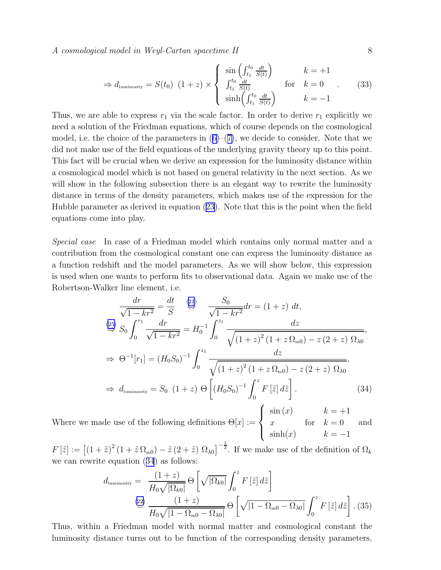<span id="page-7-0"></span>A cosmological model in Weyl-Cartan spacetime II 8

$$
\Rightarrow d_{\text{luminosity}} = S(t_0) \ (1+z) \times \begin{cases} \sin\left(\int_{t_1}^{t_0} \frac{dt}{S(t)}\right) & k = +1\\ \int_{t_1}^{t_0} \frac{dt}{S(t)} & \text{for} \quad k = 0\\ \sinh\left(\int_{t_1}^{t_0} \frac{dt}{S(t)}\right) & k = -1 \end{cases} \tag{33}
$$

Thus, we are able to express  $r_1$  via the scale factor. In order to derive  $r_1$  explicitly we need a solution of the Friedman equations, which of course depends on the cosmological model,i.e. the choice of the parameters in  $(6)-(7)$  $(6)-(7)$  $(6)-(7)$  $(6)-(7)$ , we decide to consider. Note that we did not make use of the field equations of the underlying gravity theory up to this point. This fact will be crucial when we derive an expression for the luminosity distance within a cosmological model which is not based on general relativity in the next section. As we will show in the following subsection there is an elegant way to rewrite the luminosity distance in terms of the density parameters, which makes use of the expression for the Hubble parameter as derived in equation [\(23\)](#page-5-0). Note that this is the point when the field equations come into play.

Special case In case of a Friedman model which contains only normal matter and a contribution from the cosmological constant one can express the luminosity distance as a function redshift and the model parameters. As we will show below, this expression is used when one wants to perform fits to observational data. Again we make use of the Robertson-Walker line element, i.e.

$$
\frac{dr}{\sqrt{1 - kr^2}} = \frac{dt}{S} \quad \stackrel{(21)}{\Leftrightarrow} \quad \frac{S_0}{\sqrt{1 - kr^2}} dr = (1 + z) dt,
$$
\n
$$
\stackrel{(25)}{\Leftrightarrow} S_0 \int_0^{r_1} \frac{dr}{\sqrt{1 - kr^2}} = H_0^{-1} \int_0^{z_1} \frac{dz}{\sqrt{(1 + z)^2 (1 + z \Omega_{\text{m0}}) - z (2 + z) \Omega_{\lambda 0}}},
$$
\n
$$
\Rightarrow \Theta^{-1}[r_1] = (H_0 S_0)^{-1} \int_0^{z_1} \frac{dz}{\sqrt{(1 + z)^2 (1 + z \Omega_{\text{m0}}) - z (2 + z) \Omega_{\lambda 0}}},
$$
\n
$$
\Rightarrow d_{\text{luminosity}} = S_0 \quad (1 + z) \Theta \left[ (H_0 S_0)^{-1} \int_0^z F [\tilde{z}] d\tilde{z} \right]. \tag{34}
$$

Where we made use of the following definitions  $\Theta[x] :=$  $\int$  $\overline{\mathcal{L}}$  $\sin(x)$   $k = +1$ x for  $k = 0$  $\sinh(x)$   $k=-1$ and

 $F[\tilde{z}] := [(1 + \tilde{z})^2 (1 + \tilde{z} \Omega_{m0}) - \tilde{z} (2 + \tilde{z}) \Omega_{\lambda 0}]^{-\frac{1}{2}}$ . If we make use of the definition of  $\Omega_k$ we can rewrite equation (34) as follows:

$$
d_{\text{luminosity}} = \frac{(1+z)}{H_0\sqrt{|\Omega_{k0}|}} \Theta \left[ \sqrt{|\Omega_{k0}|} \int_0^z F[\tilde{z}] d\tilde{z} \right]
$$
  

$$
\stackrel{(22)}{=} \frac{(1+z)}{H_0\sqrt{1-\Omega_{m0}-\Omega_{\lambda0}|}} \Theta \left[ \sqrt{1-\Omega_{m0}-\Omega_{\lambda0}} \int_0^z F[\tilde{z}] d\tilde{z} \right].
$$
 (35)

Thus, within a Friedman model with normal matter and cosmological constant the luminosity distance turns out to be function of the corresponding density parameters,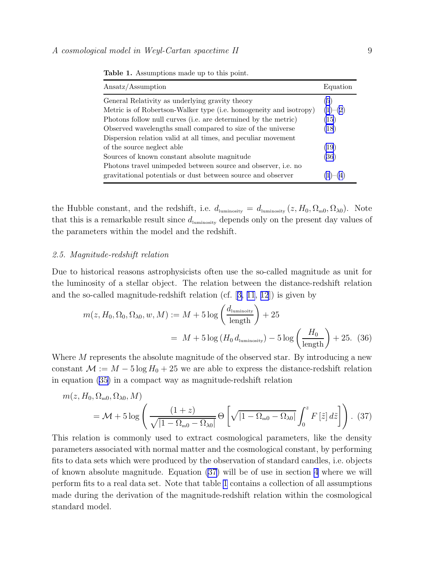| Ansatz/Assumption                                                  | Equation  |
|--------------------------------------------------------------------|-----------|
| General Relativity as underlying gravity theory                    | (5)       |
| Metric is of Robertson-Walker type (i.e. homogeneity and isotropy) | $(1)-(2)$ |
| Photons follow null curves (i.e. are determined by the metric)     | (15)      |
| Observed wavelengths small compared to size of the universe        | (18)      |
| Dispersion relation valid at all times, and peculiar movement      |           |
| of the source neglect able                                         | (19)      |
| Sources of known constant absolute magnitude                       | (36)      |
| Photons travel unimpeded between source and observer, i.e. no      |           |
| gravitational potentials or dust between source and observer       |           |

<span id="page-8-0"></span>Table 1. Assumptions made up to this point.

the Hubble constant, and the redshift, i.e.  $d_{\text{luminosity}} = d_{\text{luminosity}}(z, H_0, \Omega_{\text{m0}}, \Omega_{\lambda 0})$ . Note that this is a remarkable result since  $d_{\text{luminosity}}$  depends only on the present day values of the parameters within the model and the redshift.

## 2.5. Magnitude-redshift relation

Due to historical reasons astrophysicists often use the so-called magnitude as unit for the luminosity of a stellar object. The relation between the distance-redshift relation and the so-called magnitude-redshift relation (cf.[[3,](#page-20-0) [11](#page-21-0), [12](#page-21-0)]) is given by

$$
m(z, H_0, \Omega_0, \Omega_{\lambda 0}, w, M) := M + 5 \log \left( \frac{d_{\text{luminosity}}}{\text{length}} \right) + 25
$$
  
=  $M + 5 \log (H_0 d_{\text{luminosity}}) - 5 \log \left( \frac{H_0}{\text{length}} \right) + 25.$  (36)

Where M represents the absolute magnitude of the observed star. By introducing a new constant  $\mathcal{M} := M - 5 \log H_0 + 25$  we are able to express the distance-redshift relation in equation([35\)](#page-7-0) in a compact way as magnitude-redshift relation

$$
m(z, H_0, \Omega_{\text{m0}}, \Omega_{\lambda 0}, M)
$$
  
=  $\mathcal{M} + 5 \log \left( \frac{(1+z)}{\sqrt{|1 - \Omega_{\text{m0}} - \Omega_{\lambda 0}|}} \Theta \left[ \sqrt{|1 - \Omega_{\text{m0}} - \Omega_{\lambda 0}|} \int_0^z F[\tilde{z}] d\tilde{z} \right] \right)$ . (37)

This relation is commonly used to extract cosmological parameters, like the density parameters associated with normal matter and the cosmological constant, by performing fits to data sets which were produced by the observation of standard candles, i.e. objects of known absolute magnitude. Equation (37) will be of use in section [4](#page-11-0) where we will perform fits to a real data set. Note that table 1 contains a collection of all assumptions made during the derivation of the magnitude-redshift relation within the cosmological standard model.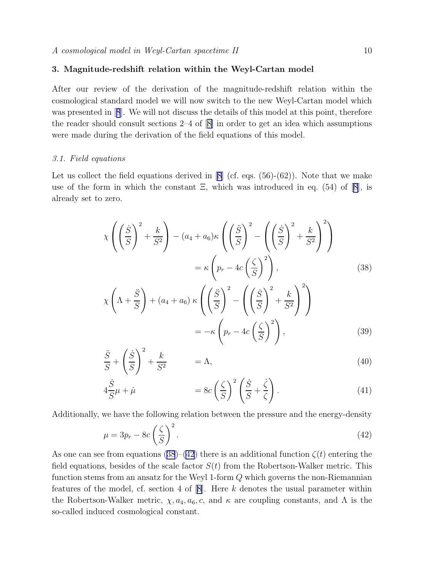# <span id="page-9-0"></span>3. Magnitude-redshift relation within the Weyl-Cartan model

After our review of the derivation of the magnitude-redshift relation within the cosmological standard model we will now switch to the new Weyl-Cartan model which waspresented in [[8](#page-21-0)]. We will not discuss the details of this model at this point, therefore thereader should consult sections  $2-4$  of  $[8]$  $[8]$  in order to get an idea which assumptions were made during the derivation of the field equations of this model.

#### 3.1. Field equations

Let us collect the field equations derived in  $[8]$  (cf. eqs.  $(56)-(62)$ ). Note that we make use of the form in which the constant  $\Xi$ , which was introduced in eq. (54) of [\[8\]](#page-21-0), is already set to zero.

$$
\chi \left( \left( \frac{\dot{S}}{S} \right)^2 + \frac{k}{S^2} \right) - (a_4 + a_6) \kappa \left( \left( \frac{\ddot{S}}{S} \right)^2 - \left( \left( \frac{\dot{S}}{S} \right)^2 + \frac{k}{S^2} \right)^2 \right)
$$
  

$$
= \kappa \left( p_r - 4c \left( \frac{\zeta}{S} \right)^2 \right), \qquad (38)
$$
  

$$
\chi \left( \Lambda + \frac{\ddot{S}}{S} \right) + (a_4 + a_6) \kappa \left( \left( \frac{\ddot{S}}{S} \right)^2 - \left( \left( \frac{\dot{S}}{S} \right)^2 + \frac{k}{S^2} \right)^2 \right)
$$
  

$$
= -\kappa \left( p_r - 4c \left( \frac{\zeta}{S} \right)^2 \right), \qquad (39)
$$

$$
\frac{\ddot{S}}{S} + \left(\frac{\dot{S}}{S}\right)^2 + \frac{k}{S^2} = \Lambda,\tag{40}
$$

$$
4\frac{\dot{S}}{S}\mu + \dot{\mu} = 8c\left(\frac{\zeta}{S}\right)^2 \left(\frac{\dot{S}}{S} + \frac{\dot{\zeta}}{\zeta}\right). \tag{41}
$$

Additionally, we have the following relation between the pressure and the energy-density

$$
\mu = 3p_r - 8c\left(\frac{\zeta}{S}\right)^2.
$$
\n(42)

As one can see from equations (38)–(42) there is an additional function  $\zeta(t)$  entering the field equations, besides of the scale factor  $S(t)$  from the Robertson-Walker metric. This function stems from an ansatz for the Weyl 1-form Q which governs the non-Riemannian featuresof the model, cf. section 4 of  $[8]$  $[8]$ . Here k denotes the usual parameter within the Robertson-Walker metric,  $\chi$ ,  $a_4$ ,  $a_6$ , c, and  $\kappa$  are coupling constants, and  $\Lambda$  is the so-called induced cosmological constant.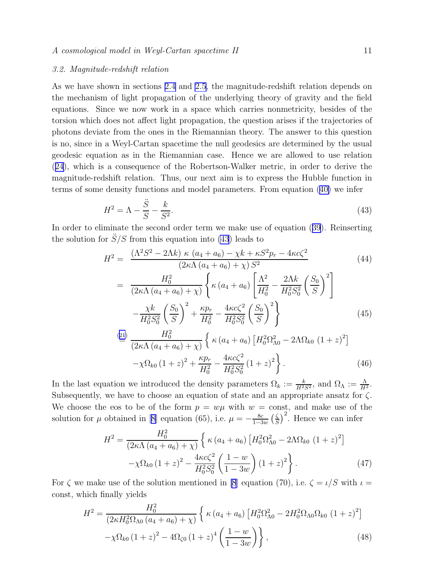#### <span id="page-10-0"></span>3.2. Magnitude-redshift relation

As we have shown in sections [2.4](#page-6-0) and [2.5](#page-8-0), the magnitude-redshift relation depends on the mechanism of light propagation of the underlying theory of gravity and the field equations. Since we now work in a space which carries nonmetricity, besides of the torsion which does not affect light propagation, the question arises if the trajectories of photons deviate from the ones in the Riemannian theory. The answer to this question is no, since in a Weyl-Cartan spacetime the null geodesics are determined by the usual geodesic equation as in the Riemannian case. Hence we are allowed to use relation ([24](#page-5-0)), which is a consequence of the Robertson-Walker metric, in order to derive the magnitude-redshift relation. Thus, our next aim is to express the Hubble function in terms of some density functions and model parameters. From equation([40\)](#page-9-0) we infer

$$
H^2 = \Lambda - \frac{\ddot{S}}{S} - \frac{k}{S^2}.\tag{43}
$$

In order to eliminate the second order term we make use of equation ([39](#page-9-0)). Reinserting the solution for  $\ddot{S}/S$  from this equation into (43) leads to

$$
H^{2} = \frac{(\Lambda^{2}S^{2} - 2\Lambda k) \kappa (a_{4} + a_{6}) - \chi k + \kappa S^{2} p_{r} - 4\kappa c \zeta^{2}}{(2\kappa\Lambda (a_{4} + a_{6}) + \chi) S^{2}}
$$
(44)  

$$
= \frac{H_{0}^{2}}{(2\kappa\Lambda (a_{4} + a_{6}) + \chi)} \left\{ \kappa (a_{4} + a_{6}) \left[ \frac{\Lambda^{2}}{H_{0}^{2}} - \frac{2\Lambda k}{H_{0}^{2} S_{0}^{2}} \left( \frac{S_{0}}{S} \right)^{2} \right] - \frac{\chi k}{H_{0}^{2} S_{0}^{2}} \left( \frac{S_{0}}{S} \right)^{2} + \frac{\kappa p_{r}}{H_{0}^{2}} - \frac{4\kappa c \zeta^{2}}{H_{0}^{2} S_{0}^{2}} \left( \frac{S_{0}}{S} \right)^{2} \right\}
$$
(45)

$$
\stackrel{\text{(21)}}{=} \frac{H_0^2}{(2\kappa\Lambda (a_4 + a_6) + \chi)} \left\{ \kappa (a_4 + a_6) \left[ H_0^2 \Omega_{\Lambda 0}^2 - 2\Lambda \Omega_{k0} (1 + z)^2 \right] - \chi \Omega_{k0} (1 + z)^2 + \frac{\kappa p_r}{H_0^2} - \frac{4\kappa c \zeta^2}{H_0^2 S_0^2} (1 + z)^2 \right\}. \tag{46}
$$

In the last equation we introduced the density parameters  $\Omega_k := \frac{k}{H^2S^2}$ , and  $\Omega_\Lambda := \frac{\Lambda}{H^2}$ . Subsequently, we have to choose an equation of state and an appropriate ansatz for  $\zeta$ . We choose the eos to be of the form  $p = w\mu$  with  $w = \text{const}$ , and make use of the solution for  $\mu$  obtained in [\[8](#page-21-0)] equation (65), i.e.  $\mu = -\frac{8c}{1-3w}$  ( $\frac{\zeta}{S}$  $\left(\frac{\zeta}{S}\right)^2$ . Hence we can infer

$$
H^{2} = \frac{H_{0}^{2}}{(2\kappa\Lambda (a_{4} + a_{6}) + \chi)} \left\{ \kappa (a_{4} + a_{6}) \left[ H_{0}^{2} \Omega_{\Lambda 0}^{2} - 2\Lambda \Omega_{k0} (1 + z)^{2} \right] - \chi \Omega_{k0} (1 + z)^{2} - \frac{4\kappa c \zeta^{2}}{H_{0}^{2} S_{0}^{2}} \left( \frac{1 - w}{1 - 3w} \right) (1 + z)^{2} \right\}.
$$
 (47)

For  $\zeta$  we make use of the solution mentioned in [\[8](#page-21-0)] equation (70), i.e.  $\zeta = \iota/S$  with  $\iota =$ const, which finally yields

$$
H^{2} = \frac{H_{0}^{2}}{(2\kappa H_{0}^{2}\Omega_{\Lambda0} (a_{4} + a_{6}) + \chi)} \left\{ \kappa (a_{4} + a_{6}) \left[ H_{0}^{2}\Omega_{\Lambda0}^{2} - 2H_{0}^{2}\Omega_{\Lambda0}\Omega_{k0} (1 + z)^{2} \right] - \chi \Omega_{k0} (1 + z)^{2} - 4\Omega_{\zeta0} (1 + z)^{4} \left( \frac{1 - w}{1 - 3w} \right) \right\},
$$
\n(48)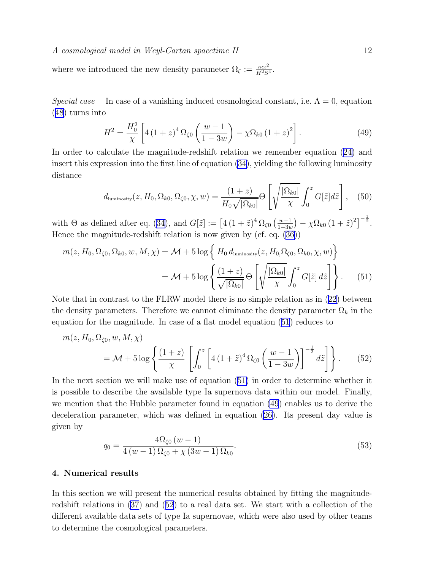<span id="page-11-0"></span>where we introduced the new density parameter  $\Omega_{\zeta} := \frac{\kappa c l^2}{H^2 S^4}$ .

Special case In case of a vanishing induced cosmological constant, i.e.  $\Lambda = 0$ , equation ([48](#page-10-0)) turns into

$$
H^{2} = \frac{H_{0}^{2}}{\chi} \left[ 4\left(1+z\right)^{4} \Omega_{\zeta 0} \left(\frac{w-1}{1-3w}\right) - \chi \Omega_{k0} \left(1+z\right)^{2} \right]. \tag{49}
$$

In order to calculate the magnitude-redshift relation we remember equation([24\)](#page-5-0) and insert this expression into the first line of equation [\(34](#page-7-0)), yielding the following luminosity distance

$$
d_{\text{luminosity}}(z, H_0, \Omega_{k0}, \Omega_{\zeta 0}, \chi, w) = \frac{(1+z)}{H_0 \sqrt{|\Omega_{k0}|}} \Theta \left[ \sqrt{\frac{|\Omega_{k0}|}{\chi}} \int_0^z G[\tilde{z}] d\tilde{z} \right], \quad (50)
$$

with  $\Theta$  as defined after eq. [\(34](#page-7-0)), and  $G[\tilde{z}] := [4(1+\tilde{z})^4 \Omega_{\zeta 0} \left( \frac{w-1}{1-3w} \right)$  $\frac{w-1}{1-3w}$ ) –  $\chi \Omega_{k0} (1 + \tilde{z})^2$ ]<sup>- $\frac{1}{2}$ </sup>. Hence the magnitude-redshift relation is now given by (cf. eq.([36\)](#page-8-0))

$$
m(z, H_0, \Omega_{\zeta 0}, \Omega_{k0}, w, M, \chi) = \mathcal{M} + 5 \log \left\{ H_0 d_{\text{luminosity}}(z, H_0, \Omega_{\zeta 0}, \Omega_{k0}, \chi, w) \right\}
$$

$$
= \mathcal{M} + 5 \log \left\{ \frac{(1+z)}{\sqrt{|\Omega_{k0}|}} \Theta \left[ \sqrt{\frac{|\Omega_{k0}|}{\chi}} \int_0^z G[\tilde{z}] \, d\tilde{z} \right] \right\}. \tag{51}
$$

Note that in contrast to the FLRW model there is no simple relation as in([22\)](#page-5-0) between the density parameters. Therefore we cannot eliminate the density parameter  $\Omega_k$  in the equation for the magnitude. In case of a flat model equation (51) reduces to

$$
m(z, H_0, \Omega_{\zeta 0}, w, M, \chi)
$$
  
=  $\mathcal{M} + 5 \log \left\{ \frac{(1+z)}{\chi} \left[ \int_0^z \left[ 4 \left( 1 + \tilde{z} \right)^4 \Omega_{\zeta 0} \left( \frac{w-1}{1-3w} \right) \right]^{-\frac{1}{2}} dz \right] \right\}.$  (52)

In the next section we will make use of equation (51) in order to determine whether it is possible to describe the available type Ia supernova data within our model. Finally, we mention that the Hubble parameter found in equation (49) enables us to derive the deceleration parameter, which was defined in equation [\(26](#page-5-0)). Its present day value is given by

$$
q_0 = \frac{4\Omega_{\zeta 0} (w - 1)}{4 (w - 1)\Omega_{\zeta 0} + \chi (3w - 1)\Omega_{k0}}.
$$
\n(53)

# 4. Numerical results

In this section we will present the numerical results obtained by fitting the magnituderedshift relations in [\(37](#page-8-0)) and (52) to a real data set. We start with a collection of the different available data sets of type Ia supernovae, which were also used by other teams to determine the cosmological parameters.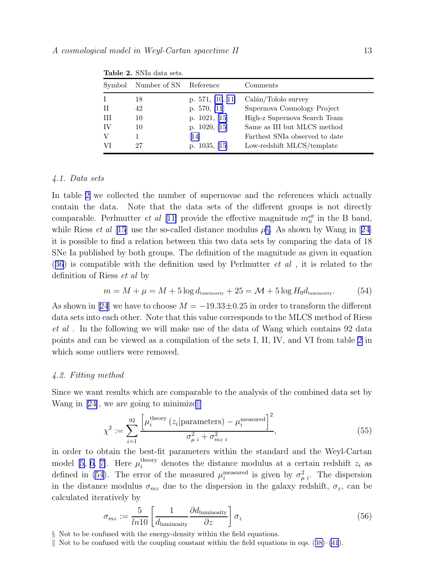| Symbol | Number of SN | Reference          | Comments                       |
|--------|--------------|--------------------|--------------------------------|
|        | 18           | p. $571, [10, 11]$ | Calán/Tololo survey            |
| Н      | 42           | p. $570, [11]$     | Supernova Cosmology Project    |
| Ш      | 10           | p. $1021, [15]$    | High-z Supernova Search Team   |
| IV     | 10           | p. $1020, [15]$    | Same as III but MLCS method    |
|        |              | $\vert 14 \vert$   | Farthest SNIa observed to date |
| VI     | 27           | p. $1035, [15]$    | Low-redshift MLCS/template     |

<span id="page-12-0"></span>Table 2. SNIa data sets.

# 4.1. Data sets

In table 2 we collected the number of supernovae and the references which actually contain the data. Note that the data sets of the different groups is not directly comparable. Perlmutter *et al* [[11\]](#page-21-0) provide the effective magnitude  $m_{\rm B}^{\rm eff}$  in the B band, whileRiess *et al* [\[15\]](#page-21-0) use the so-called distance modulus  $\mu$ §. As shown by Wang in [[24](#page-21-0)] it is possible to find a relation between this two data sets by comparing the data of 18 SNe Ia published by both groups. The definition of the magnitude as given in equation  $(36)$  $(36)$  $(36)$  is compatible with the definition used by Perlmutter *et al*, it is related to the definition of Riess et al by

$$
m = M + \mu = M + 5 \log d_{\text{luminosity}} + 25 = \mathcal{M} + 5 \log H_0 d_{\text{luminosity}}.\tag{54}
$$

Asshown in [[24](#page-21-0)] we have to choose  $M = -19.33 \pm 0.25$  in order to transform the different data sets into each other. Note that this value corresponds to the MLCS method of Riess et al . In the following we will make use of the data of Wang which contains 92 data points and can be viewed as a compilation of the sets I, II, IV, and VI from table 2 in which some outliers were removed.

### 4.2. Fitting method

Since we want results which are comparable to the analysis of the combined data set by Wang in [\[24\]](#page-21-0), we are going to minimize.

$$
\chi^2 := \sum_{i=1}^{92} \frac{\left[\mu_i^{\text{theory}}(z_i | \text{parameters}) - \mu_i^{\text{measured}}\right]^2}{\sigma_{\mu i}^2 + \sigma_{mzi}^2},\tag{55}
$$

in order to obtain the best-fit parameters within the standard and the Weyl-Cartan model[[5, 6, 7\]](#page-21-0). Here  $\mu_i^{\text{theory}}$  denotes the distance modulus at a certain redshift  $z_i$  as defined in (54). The error of the measured  $\mu_i^{\text{measured}}$  is given by  $\sigma_{\mu i}^2$ . The dispersion in the distance modulus  $\sigma_{mz}$  due to the dispersion in the galaxy redshift,  $\sigma_z$ , can be calculated iteratively by

$$
\sigma_{mz} := \frac{5}{\ln 10} \left[ \frac{1}{d_{\text{luminosity}}} \frac{\partial d_{\text{luminosity}}}{\partial z} \right] \sigma_z \tag{56}
$$

<sup>§</sup> Not to be confused with the energy-density within the field equations.

Notto be confused with the coupling constant within the field equations in eqs.  $(38)–(41)$  $(38)–(41)$  $(38)–(41)$  $(38)–(41)$  $(38)–(41)$ .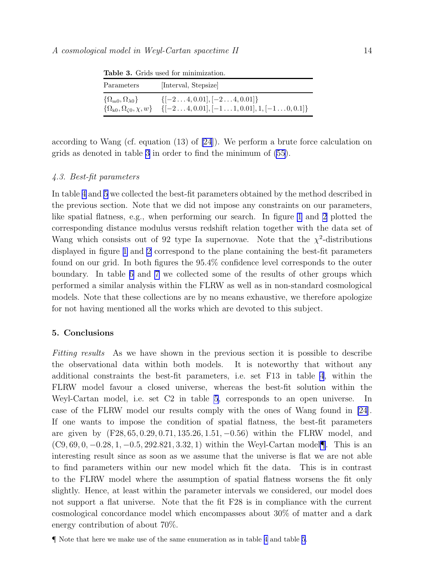| Parameters                                                                               | [Interval, Stepsize]                                                                                               |  |  |  |  |  |
|------------------------------------------------------------------------------------------|--------------------------------------------------------------------------------------------------------------------|--|--|--|--|--|
| $\{\Omega_{\rm m0},\Omega_{\lambda0}\}\$<br>$\{\Omega_{k0}, \Omega_{\zeta 0}, \chi, w\}$ | $\{[-2 \dots 4, 0.01], [-2 \dots 4, 0.01]\}$<br>$\{[-2 \dots 4, 0.01], [-1 \dots 1, 0.01], 1, [-1 \dots 0, 0.1]\}$ |  |  |  |  |  |

<span id="page-13-0"></span>Table 3. Grids used for minimization.

according to Wang (cf. equation (13) of [\[24](#page-21-0)]). We perform a brute force calculation on grids as denoted in table 3 in order to find the minimum of [\(55](#page-12-0)).

## 4.3. Best-fit parameters

In table [4](#page-14-0) and [5](#page-14-0) we collected the best-fit parameters obtained by the method described in the previous section. Note that we did not impose any constraints on our parameters, like spatial flatness, e.g., when performing our search. In figure [1](#page-15-0) and [2](#page-15-0) plotted the corresponding distance modulus versus redshift relation together with the data set of Wang which consists out of 92 type Ia supernovae. Note that the  $\chi^2$ -distributions displayed in figure [1](#page-15-0) and [2](#page-15-0) correspond to the plane containing the best-fit parameters found on our grid. In both figures the 95.4% confidence level corresponds to the outer boundary. In table [6](#page-16-0) and [7](#page-16-0) we collected some of the results of other groups which performed a similar analysis within the FLRW as well as in non-standard cosmological models. Note that these collections are by no means exhaustive, we therefore apologize for not having mentioned all the works which are devoted to this subject.

#### 5. Conclusions

Fitting results As we have shown in the previous section it is possible to describe the observational data within both models. It is noteworthy that without any additional constraints the best-fit parameters, i.e. set F13 in table [4](#page-14-0), within the FLRW model favour a closed universe, whereas the best-fit solution within the Weyl-Cartan model, i.e. set C2 in table [5](#page-14-0), corresponds to an open universe. In case of the FLRW model our results comply with the ones of Wang found in [\[24](#page-21-0)]. If one wants to impose the condition of spatial flatness, the best-fit parameters are given by (F28, 65, 0.29, 0.71, 135.26, 1.51, −0.56) within the FLRW model, and  $(C9, 69, 0, -0.28, 1, -0.5, 292.821, 3.32, 1)$  within the Weyl-Cartan model¶. This is an interesting result since as soon as we assume that the universe is flat we are not able to find parameters within our new model which fit the data. This is in contrast to the FLRW model where the assumption of spatial flatness worsens the fit only slightly. Hence, at least within the parameter intervals we considered, our model does not support a flat universe. Note that the fit F28 is in compliance with the current cosmological concordance model which encompasses about 30% of matter and a dark energy contribution of about 70%.

<sup>¶</sup> Note that here we make use of the same enumeration as in table [4](#page-14-0) and table [5](#page-14-0).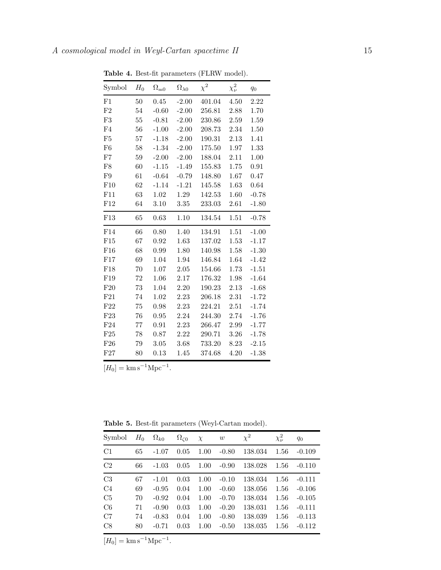| Symbol         | $H_0$ | $\Omega_{\rm m0}$ | $\Omega_{\lambda0}$ | $\chi^2$ | $\chi^2_{\nu}$ | $q_0$   |
|----------------|-------|-------------------|---------------------|----------|----------------|---------|
| F1             | 50    | 0.45              | $-2.00$             | 401.04   | 4.50           | 2.22    |
| F2             | 54    | $-0.60$           | $-2.00$             | 256.81   | 2.88           | 1.70    |
| F3             | 55    | $-0.81$           | $-2.00$             | 230.86   | 2.59           | 1.59    |
| F4             | 56    | $-1.00$           | $-2.00$             | 208.73   | 2.34           | 1.50    |
| F <sub>5</sub> | 57    | $-1.18$           | $-2.00$             | 190.31   | 2.13           | 1.41    |
| F <sub>6</sub> | 58    | $-1.34$           | $-2.00$             | 175.50   | 1.97           | 1.33    |
| ${\rm F}7$     | 59    | $-2.00$           | $-2.00$             | 188.04   | 2.11           | 1.00    |
| F8             | 60    | $-1.15$           | $-1.49$             | 155.83   | 1.75           | 0.91    |
| F9             | 61    | $-0.64$           | $-0.79$             | 148.80   | 1.67           | 0.47    |
| F10            | 62    | $-1.14$           | $-1.21$             | 145.58   | 1.63           | 0.64    |
| F11            | 63    | 1.02              | 1.29                | 142.53   | 1.60           | $-0.78$ |
| F12            | 64    | 3.10              | 3.35                | 233.03   | 2.61           | $-1.80$ |
| F13            | 65    | 0.63              | 1.10                | 134.54   | 1.51           | $-0.78$ |
| F14            | 66    | 0.80              | 1.40                | 134.91   | 1.51           | $-1.00$ |
| F15            | 67    | 0.92              | 1.63                | 137.02   | 1.53           | $-1.17$ |
| F16            | 68    | 0.99              | 1.80                | 140.98   | 1.58           | $-1.30$ |
| F17            | 69    | 1.04              | 1.94                | 146.84   | 1.64           | $-1.42$ |
| F18            | 70    | 1.07              | 2.05                | 154.66   | 1.73           | $-1.51$ |
| F19            | 72    | 1.06              | 2.17                | 176.32   | 1.98           | $-1.64$ |
| F20            | 73    | 1.04              | 2.20                | 190.23   | 2.13           | $-1.68$ |
| F21            | 74    | 1.02              | 2.23                | 206.18   | 2.31           | $-1.72$ |
| F22            | 75    | 0.98              | 2.23                | 224.21   | 2.51           | $-1.74$ |
| F23            | 76    | 0.95              | 2.24                | 244.30   | 2.74           | $-1.76$ |
| F24            | 77    | 0.91              | 2.23                | 266.47   | 2.99           | $-1.77$ |
| F25            | 78    | 0.87              | 2.22                | 290.71   | 3.26           | $-1.78$ |
| F26            | 79    | 3.05              | 3.68                | 733.20   | 8.23           | $-2.15$ |
| F27            | 80    | 0.13              | 1.45                | 374.68   | 4.20           | $-1.38$ |

<span id="page-14-0"></span>Table 4. Best-fit parameters (FLRW model).

 $[H_0] = \mathrm{km s}^{-1} \mathrm{Mpc}^{-1}.$ 

Table 5. Best-fit parameters (Weyl-Cartan model).

| Symbol         | $H_0$ | $\Omega_{k0}$ | $\Omega_{\zeta 0}$ | $\chi$ | w       | $\chi^2$ | $\chi^2_{\nu}$ | $q_0$    |
|----------------|-------|---------------|--------------------|--------|---------|----------|----------------|----------|
| C1             | 65    | $-1.07$       | 0.05               | 1.00   | $-0.80$ | 138.034  | 1.56           | $-0.109$ |
| C <sub>2</sub> | 66    | $-1.03$       | 0.05               | 1.00   | $-0.90$ | 138.028  | 1.56           | $-0.110$ |
| C <sub>3</sub> | 67    | $-1.01$       | 0.03               | 1.00   | $-0.10$ | 138.034  | 1.56           | $-0.111$ |
| C <sub>4</sub> | 69    | $-0.95$       | 0.04               | 1.00   | $-0.60$ | 138.056  | 1.56           | $-0.106$ |
| C <sub>5</sub> | 70    | $-0.92$       | 0.04               | 1.00   | $-0.70$ | 138.034  | 1.56           | $-0.105$ |
| C6             | 71    | $-0.90$       | 0.03               | 1.00   | $-0.20$ | 138.031  | 1.56           | $-0.111$ |
| C7             | 74    | $-0.83$       | 0.04               | 1.00   | $-0.80$ | 138.039  | 1.56           | $-0.113$ |
| C8             | 80    | $-0.71$       | 0.03               | 1.00   | $-0.50$ | 138.035  | 1.56           | $-0.112$ |

 $[H_0] = \mathrm{km s}^{-1} \mathrm{Mpc}^{-1}.$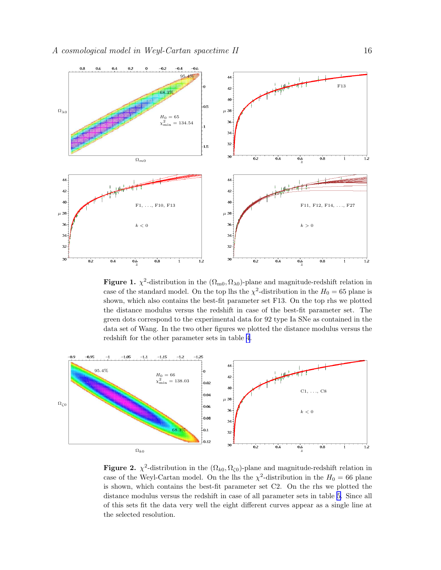<span id="page-15-0"></span>

Figure 1.  $\chi^2$ -distribution in the  $(\Omega_{\rm m0}, \Omega_{\lambda 0})$ -plane and magnitude-redshift relation in case of the standard model. On the top lhs the  $\chi^2$ -distribution in the  $H_0 = 65$  plane is shown, which also contains the best-fit parameter set F13. On the top rhs we plotted the distance modulus versus the redshift in case of the best-fit parameter set. The green dots correspond to the experimental data for 92 type Ia SNe as contained in the data set of Wang. In the two other figures we plotted the distance modulus versus the redshift for the other parameter sets in table [4](#page-14-0).



**Figure 2.**  $\chi^2$ -distribution in the  $(\Omega_{k0}, \Omega_{\zeta0})$ -plane and magnitude-redshift relation in case of the Weyl-Cartan model. On the lhs the  $\chi^2$ -distribution in the  $H_0 = 66$  plane is shown, which contains the best-fit parameter set C2. On the rhs we plotted the distance modulus versus the redshift in case of all parameter sets in table [5](#page-14-0). Since all of this sets fit the data very well the eight different curves appear as a single line at the selected resolution.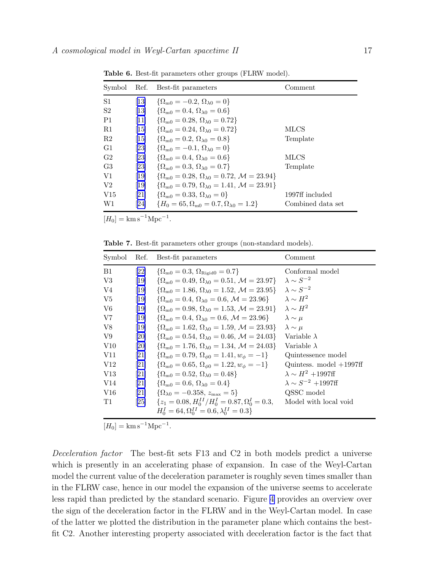| Symbol         | Ref.                         | Best-fit parameters                                                          | Comment           |
|----------------|------------------------------|------------------------------------------------------------------------------|-------------------|
| S1             | $\left 13\right $            | $\{\Omega_{\rm m0} = -0.2, \Omega_{\lambda 0} = 0\}$                         |                   |
| S <sub>2</sub> | $\left[13\right]$            | $\{\Omega_{\rm m0} = 0.4, \Omega_{\lambda 0} = 0.6\}$                        |                   |
| P <sub>1</sub> | 11                           | $\{\Omega_{\rm m0} = 0.28, \Omega_{\lambda 0} = 0.72\}$                      |                   |
| R1             | $\vert 15 \vert$             | $\{\Omega_{m0} = 0.24, \Omega_{\lambda 0} = 0.72\}$                          | MLCS              |
| R2             | $\left[15\right]$            | $\{\Omega_{\rm m0} = 0.2, \Omega_{\lambda 0} = 0.8\}$                        | Template          |
| G1             | [23]                         | $\{\Omega_{\rm m0} = -0.1, \Omega_{\lambda 0} = 0\}$                         |                   |
| G <sub>2</sub> | $\left[ 23\right]$           | $\{\Omega_{\rm m0} = 0.4, \Omega_{\lambda 0} = 0.6\}$                        | MLCS              |
| G <sub>3</sub> | $\left\lvert 23\right\rvert$ | $\{\Omega_{\rm m0} = 0.3, \Omega_{\lambda 0} = 0.7\}$                        | Template          |
| V1             | [19]                         | $\{\Omega_{m0} = 0.28, \Omega_{\lambda 0} = 0.72, \mathcal{M} = 23.94\}$     |                   |
| V <sub>2</sub> | [19]                         | $\{\Omega_{\rm m0} = 0.79, \Omega_{\lambda 0} = 1.41, \mathcal{M} = 23.91\}$ |                   |
| V15            | [21]                         | $\{\Omega_{m0} = 0.33, \Omega_{\lambda 0} = 0\}$                             | 1997ff included   |
| W1             | $\left  24\right $           | ${H_0 = 65, \Omega_{m0} = 0.7, \Omega_{\lambda 0} = 1.2}$                    | Combined data set |

<span id="page-16-0"></span>Table 6. Best-fit parameters other groups (FLRW model).

 $[H_0] = \mathrm{km s}^{-1} \mathrm{Mpc}^{-1}.$ 

Table 7. Best-fit parameters other groups (non-standard models).

| Symbol          | Ref. | Best-fit parameters                                                              | Comment                         |
|-----------------|------|----------------------------------------------------------------------------------|---------------------------------|
| B1              | 22   | $\{\Omega_{\rm m0} = 0.3, \Omega_{\rm Rigid0} = 0.7\}$                           | Conformal model                 |
| V3              | 19   | $\{\Omega_{m0} = 0.49, \Omega_{\lambda 0} = 0.51, \mathcal{M} = 23.97\}$         | $\lambda \sim S^{-2}$           |
| V4              | 19   | $\{\Omega_{\rm m0} = 1.86, \Omega_{\lambda 0} = 1.52, \mathcal{M} = 23.95\}$     | $\lambda \sim S^{-2}$           |
| V5              | 19   | $\{\Omega_{\rm m0} = 0.4, \,\Omega_{\lambda 0} = 0.6, \,\mathcal{M} = 23.96\}$   | $\lambda \sim H^2$              |
| V6              | 19   | $\{\Omega_{m0} = 0.98, \Omega_{\lambda 0} = 1.53, \mathcal{M} = 23.91\}$         | $\lambda \sim H^2$              |
| V7              | 19   | $\{\Omega_{\rm m0} = 0.4, \Omega_{\lambda 0} = 0.6, \mathcal{M} = 23.96\}$       | $\lambda \sim \mu$              |
| V8              | [19] | $\{\Omega_{m0} = 1.62, \Omega_{\lambda 0} = 1.59, \mathcal{M} = 23.93\}$         | $\lambda \sim \mu$              |
| V9              | [20] | $\{\Omega_{\rm m0} = 0.54, \,\Omega_{\lambda 0} = 0.46, \,\mathcal{M} = 24.03\}$ | Variable $\lambda$              |
| V <sub>10</sub> | [20] | $\{\Omega_{m0} = 1.76, \Omega_{\lambda 0} = 1.34, \mathcal{M} = 24.03\}$         | Variable $\lambda$              |
| V11             | 21   | $\{\Omega_{\rm m0} = 0.79, \,\Omega_{\phi 0} = 1.41, w_{\phi} = -1\}$            | Quintessence model              |
| V <sub>12</sub> | [21] | $\{\Omega_{\rm m0} = 0.65, \,\Omega_{\phi 0} = 1.22, w_{\phi} = -1\}$            | Quintess. model $+1997ff$       |
| V13             | 21   | $\{\Omega_{\rm m0} = 0.52, \Omega_{\lambda 0} = 0.48\}$                          | $\lambda \sim H^2 + 1997$ ff    |
| V14             | 21   | $\{\Omega_{m0} = 0.6, \Omega_{\lambda 0} = 0.4\}$                                | $\lambda \sim S^{-2} + 1997$ ff |
| V16             | 21   | $\{\Omega_{\lambda 0} = -0.358, z_{\text{max}} = 5\}$                            | QSSC model                      |
| T1              | 25   | $\{z_1 = 0.08, H_0^{II}/H_0^I = 0.87, \Omega_0^I = 0.3,$                         | Model with local void           |
|                 |      | $H_0^I = 64, \Omega_0^{II} = 0.6, \lambda_0^{II} = 0.3$                          |                                 |

 $[H_0] = \text{km s}^{-1} \text{Mpc}^{-1}.$ 

Deceleration factor The best-fit sets F13 and C2 in both models predict a universe which is presently in an accelerating phase of expansion. In case of the Weyl-Cartan model the current value of the deceleration parameter is roughly seven times smaller than in the FLRW case, hence in our model the expansion of the universe seems to accelerate less rapid than predicted by the standard scenario. Figure [4](#page-19-0) provides an overview over the sign of the deceleration factor in the FLRW and in the Weyl-Cartan model. In case of the latter we plotted the distribution in the parameter plane which contains the bestfit C2. Another interesting property associated with deceleration factor is the fact that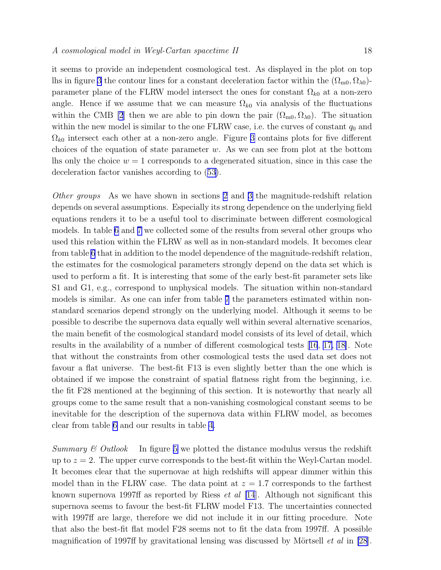it seems to provide an independent cosmological test. As displayed in the plot on top lhs in figure [3](#page-18-0) the contour lines for a constant deceleration factor within the  $(\Omega_{m0}, \Omega_{\lambda 0})$ parameter plane of the FLRW model intersect the ones for constant  $\Omega_{k0}$  at a non-zero angle. Hence if we assume that we can measure  $\Omega_{k0}$  via analysis of the fluctuations within the CMB [\[2](#page-20-0)] then we are able to pin down the pair  $(\Omega_{m0}, \Omega_{\lambda 0})$ . The situation within the new model is similar to the one FLRW case, i.e. the curves of constant  $q_0$  and  $\Omega_{k0}$  intersect each other at a non-zero angle. Figure [3](#page-18-0) contains plots for five different choices of the equation of state parameter  $w$ . As we can see from plot at the bottom lhs only the choice  $w = 1$  corresponds to a degenerated situation, since in this case the deceleration factor vanishes according to([53\)](#page-11-0).

Other groups As we have shown in sections [2](#page-2-0) and [3](#page-9-0) the magnitude-redshift relation depends on several assumptions. Especially its strong dependence on the underlying field equations renders it to be a useful tool to discriminate between different cosmological models. In table [6](#page-16-0) and [7](#page-16-0) we collected some of the results from several other groups who used this relation within the FLRW as well as in non-standard models. It becomes clear from table [6](#page-16-0) that in addition to the model dependence of the magnitude-redshift relation, the estimates for the cosmological parameters strongly depend on the data set which is used to perform a fit. It is interesting that some of the early best-fit parameter sets like S1 and G1, e.g., correspond to unphysical models. The situation within non-standard models is similar. As one can infer from table [7](#page-16-0) the parameters estimated within nonstandard scenarios depend strongly on the underlying model. Although it seems to be possible to describe the supernova data equally well within several alternative scenarios, the main benefit of the cosmological standard model consists of its level of detail, which results in the availability of a number of different cosmological tests[[16](#page-21-0), [17, 18\]](#page-21-0). Note that without the constraints from other cosmological tests the used data set does not favour a flat universe. The best-fit F13 is even slightly better than the one which is obtained if we impose the constraint of spatial flatness right from the beginning, i.e. the fit F28 mentioned at the beginning of this section. It is noteworthy that nearly all groups come to the same result that a non-vanishing cosmological constant seems to be inevitable for the description of the supernova data within FLRW model, as becomes clear from table [6](#page-16-0) and our results in table [4](#page-14-0).

Summary  $\mathcal{C}$  Outlook In figure [5](#page-19-0) we plotted the distance modulus versus the redshift up to  $z = 2$ . The upper curve corresponds to the best-fit within the Weyl-Cartan model. It becomes clear that the supernovae at high redshifts will appear dimmer within this model than in the FLRW case. The data point at  $z = 1.7$  corresponds to the farthest known supernova 1997ff as reported by Riess  $et \ al \ [14]$  $et \ al \ [14]$  $et \ al \ [14]$ . Although not significant this supernova seems to favour the best-fit FLRW model F13. The uncertainties connected with 1997ff are large, therefore we did not include it in our fitting procedure. Note that also the best-fit flat model F28 seems not to fit the data from 1997ff. A possible magnification of 1997ff by gravitational lensing was discussed by Mörtsell  $et$  al in [\[28](#page-21-0)].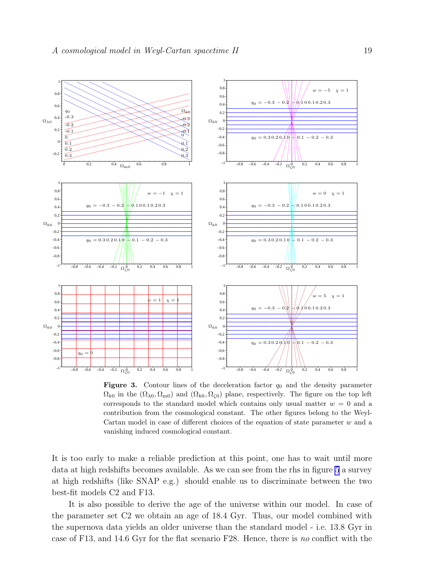<span id="page-18-0"></span>

**Figure 3.** Contour lines of the deceleration factor  $q_0$  and the density parameter  $\Omega_{k0}$  in the  $(\Omega_{\lambda0}, \Omega_{\text{m0}})$  and  $(\Omega_{k0}, \Omega_{\text{C0}})$  plane, respectively. The figure on the top left corresponds to the standard model which contains only usual matter  $w = 0$  and a contribution from the cosmological constant. The other figures belong to the Weyl-Cartan model in case of different choices of the equation of state parameter w and a vanishing induced cosmological constant.

It is too early to make a reliable prediction at this point, one has to wait until more data at high redshifts becomes available. As we can see from the rhs in figure [5](#page-19-0) a survey at high redshifts (like SNAP e.g.) should enable us to discriminate between the two best-fit models C2 and F13.

It is also possible to derive the age of the universe within our model. In case of the parameter set C2 we obtain an age of 18.4 Gyr. Thus, our model combined with the supernova data yields an older universe than the standard model - i.e. 13.8 Gyr in case of F13, and 14.6 Gyr for the flat scenario F28. Hence, there is no conflict with the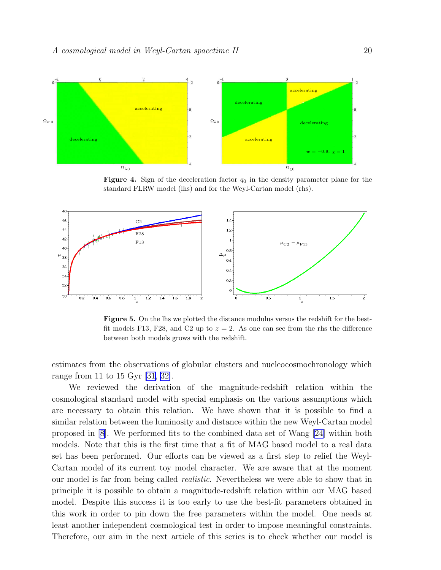<span id="page-19-0"></span>

**Figure 4.** Sign of the deceleration factor  $q_0$  in the density parameter plane for the standard FLRW model (lhs) and for the Weyl-Cartan model (rhs).



Figure 5. On the lhs we plotted the distance modulus versus the redshift for the bestfit models F13, F28, and C2 up to  $z = 2$ . As one can see from the rhs the difference between both models grows with the redshift.

estimates from the observations of globular clusters and nucleocosmochronology which range from 11 to 15 Gyr [\[31,](#page-21-0) [32\]](#page-22-0).

We reviewed the derivation of the magnitude-redshift relation within the cosmological standard model with special emphasis on the various assumptions which are necessary to obtain this relation. We have shown that it is possible to find a similar relation between the luminosity and distance within the new Weyl-Cartan model proposed in [\[8](#page-21-0)]. We performed fits to the combined data set of Wang [\[24\]](#page-21-0) within both models. Note that this is the first time that a fit of MAG based model to a real data set has been performed. Our efforts can be viewed as a first step to relief the Weyl-Cartan model of its current toy model character. We are aware that at the moment our model is far from being called *realistic*. Nevertheless we were able to show that in principle it is possible to obtain a magnitude-redshift relation within our MAG based model. Despite this success it is too early to use the best-fit parameters obtained in this work in order to pin down the free parameters within the model. One needs at least another independent cosmological test in order to impose meaningful constraints. Therefore, our aim in the next article of this series is to check whether our model is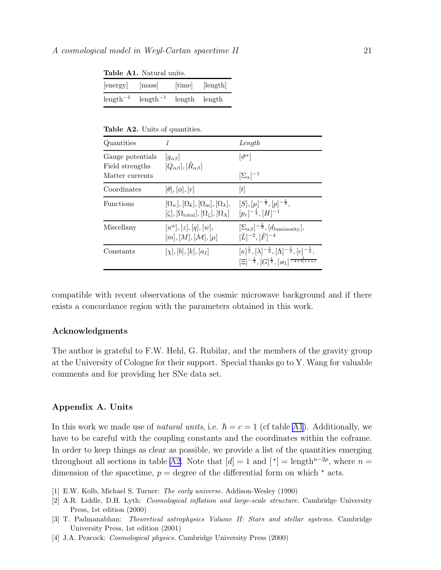|            | $\pm 0.0101$ $\pm 1.00001$ |        |          |
|------------|----------------------------|--------|----------|
| energy     | mass                       | [time] | [length] |
| $length-1$ | $length-1$                 | length | length   |

<span id="page-20-0"></span>Table A1. Natural units.

Table A2. Units of quantities.

| Quantities                                             |                                                                                                                                     | Length                                                                                                                                                                               |
|--------------------------------------------------------|-------------------------------------------------------------------------------------------------------------------------------------|--------------------------------------------------------------------------------------------------------------------------------------------------------------------------------------|
| Gauge potentials<br>Field strengths<br>Matter currents | $ g_{\alpha\beta} $<br>$[Q_{\alpha\beta}], [\hat{R}_{\alpha\beta}]$                                                                 | $[\vartheta^\alpha]$<br>$[\Sigma_{\alpha}]^{-1}$                                                                                                                                     |
| Coordinates                                            | $[\theta], [\phi], [r]$                                                                                                             | [t]                                                                                                                                                                                  |
| Functions                                              | $[\Omega_w], [\Omega_k], [\Omega_m], [\Omega_\lambda],$<br>$[\zeta], [\Omega_{\text{total}}], [\Omega_{\zeta}], [\Omega_{\Lambda}]$ | $[S], [\mu]^{-\frac{1}{4}}, [p]^{-\frac{1}{4}},$<br>$[p_r]^{-\frac{1}{4}}, [H]^{-1}$                                                                                                 |
| Miscellany                                             | $[u^{\alpha}], [z], [q], [w],$<br>$[m], [M], [\mathcal{M}], [\mu]$                                                                  | $[\Sigma_{\alpha\beta}]^{-\frac{1}{4}}, [d_{\text{luminosity}}],$<br>$[\breve{L}]^{-2}, [\breve{F}]^{-4}$                                                                            |
| Constants                                              | $[\chi], [b], [k], [a_I]$                                                                                                           | $[\kappa]^{\frac{1}{2}}, [\lambda]^{-\frac{1}{2}}, [\Lambda]^{-\frac{1}{2}}, [c]^{-\frac{1}{2}},$<br>$[\Xi]^{-\frac{1}{4}}, [G]^{\frac{1}{2}}, [\varkappa_1]^{-\frac{1}{-4+3(1+w)}}$ |

compatible with recent observations of the cosmic microwave background and if there exists a concordance region with the parameters obtained in this work.

#### Acknowledgments

The author is grateful to F.W. Hehl, G. Rubilar, and the members of the gravity group at the University of Cologne for their support. Special thanks go to Y. Wang for valuable comments and for providing her SNe data set.

# Appendix A. Units

In this work we made use of *natural units*, i.e.  $\hbar = c = 1$  (cf table [A1](#page-8-0)). Additionally, we have to be careful with the coupling constants and the coordinates within the coframe. In order to keep things as clear as possible, we provide a list of the quantities emerging throughout all sections in table [A2.](#page-12-0) Note that  $[d] = 1$  and  $\mathfrak{f}^*$  = length<sup>n-2p</sup>, where  $n =$ dimension of the spacetime,  $p = \text{degree of the differential form on which } \star \text{ acts.}$ 

- [1] E.W. Kolb, Michael S. Turner: The early universe. Addison-Wesley (1990)
- [2] A.R. Liddle, D.H. Lyth: Cosmological inflation and large-scale structure. Cambridge University Press, 1st edition (2000)
- [3] T. Padmanabhan: Theoretical astrophysics Volume II: Stars and stellar systems. Cambridge University Press, 1st edition (2001)
- [4] J.A. Peacock: Cosmological physics. Cambridge University Press (2000)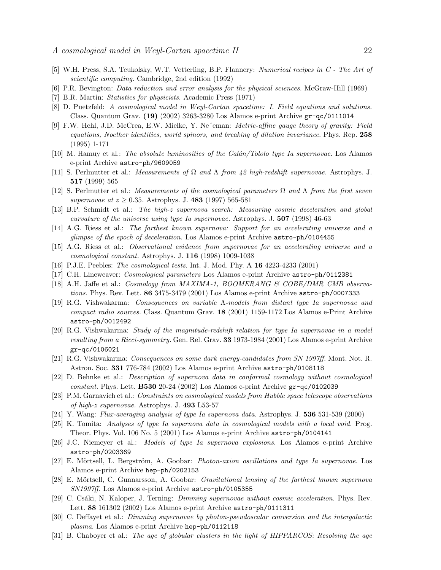- <span id="page-21-0"></span>[5] W.H. Press, S.A. Teukolsky, W.T. Vetterling, B.P. Flannery: Numerical recipes in C - The Art of scientific computing. Cambridge, 2nd edition (1992)
- [6] P.R. Bevington: Data reduction and error analysis for the physical sciences. McGraw-Hill (1969)
- [7] B.R. Martin: Statistics for physicists. Academic Press (1971)
- [8] D. Puetzfeld: A cosmological model in Weyl-Cartan spacetime: I. Field equations and solutions. Class. Quantum Grav. (19) (2002) 3263-3280 Los Alamos e-print Archive gr-qc/0111014
- [9] F.W. Hehl, J.D. McCrea, E.W. Mielke, Y. Ne´eman: Metric-affine gauge theory of gravity: Field equations, Noether identities, world spinors, and breaking of dilation invariance. Phys. Rep. 258 (1995) 1-171
- [10] M. Hamuy et al.: The absolute luminosities of the Calán/Tololo type Ia supernovae. Los Alamos e-print Archive astro-ph/9609059
- [11] S. Perlmutter et al.: Measurements of Ω and Λ from 42 high-redshift supernovae. Astrophys. J. 517 (1999) 565
- [12] S. Perlmutter et al.: Measurements of the cosmological parameters  $\Omega$  and  $\Lambda$  from the first seven supernovae at  $z \ge 0.35$ . Astrophys. J. 483 (1997) 565-581
- [13] B.P. Schmidt et al.: The high-z supernova search: Measuring cosmic deceleration and global curvature of the universe using type Ia supernovae. Astrophys. J. 507 (1998) 46-63
- [14] A.G. Riess et al.: The farthest known supernova: Support for an accelerating universe and a glimpse of the epoch of deceleration. Los Alamos e-print Archive astro-ph/0104455
- [15] A.G. Riess et al.: Observational evidence from supernovae for an accelerating universe and a cosmological constant. Astrophys. J. 116 (1998) 1009-1038
- [16] P.J.E. Peebles: The cosmological tests. Int. J. Mod. Phy. A 16 4223-4233 (2001)
- [17] C.H. Lineweaver: Cosmological parameters Los Alamos e-print Archive astro-ph/0112381
- [18] A.H. Jaffe et al.: Cosmology from MAXIMA-1, BOOMERANG & COBE/DMR CMB observations. Phys. Rev. Lett. 86 3475-3479 (2001) Los Alamos e-print Archive astro-ph/0007333
- [19] R.G. Vishwakarma: Consequences on variable Λ-models from distant type Ia supernovae and compact radio sources. Class. Quantum Grav. 18 (2001) 1159-1172 Los Alamos e-Print Archive astro-ph/0012492
- [20] R.G. Vishwakarma: Study of the magnitude-redshift relation for type Ia supernovae in a model resulting from a Ricci-symmetry. Gen. Rel. Grav. 33 1973-1984 (2001) Los Alamos e-print Archive gr-qc/0106021
- [21] R.G. Vishwakarma: Consequences on some dark energy-candidates from SN 1997ff. Mont. Not. R. Astron. Soc. 331 776-784 (2002) Los Alamos e-print Archive astro-ph/0108118
- [22] D. Behnke et al.: Description of supernova data in conformal cosmology without cosmological constant. Phys. Lett. **B530** 20-24 (2002) Los Alamos e-print Archive  $gr-qc/0102039$
- [23] P.M. Garnavich et al.: Constraints on cosmological models from Hubble space telescope observations of high-z supernovae. Astrophys. J. 493 L53-57
- [24] Y. Wang: Flux-averaging analysis of type Ia supernova data. Astrophys. J. 536 531-539 (2000)
- [25] K. Tomita: Analyses of type Ia supernova data in cosmological models with a local void. Prog. Theor. Phys. Vol. 106 No. 5 (2001) Los Alamos e-print Archive astro-ph/0104141
- [26] J.C. Niemeyer et al.: Models of type Ia supernova explosions. Los Alamos e-print Archive astro-ph/0203369
- [27] E. Mörtsell, L. Bergström, A. Goobar: *Photon-axion oscillations and type Ia supernovae*. Los Alamos e-print Archive hep-ph/0202153
- [28] E. Mörtsell, C. Gunnarsson, A. Goobar: *Gravitational lensing of the farthest known supernova* SN1997ff. Los Alamos e-print Archive astro-ph/0105355
- [29] C. Csáki, N. Kaloper, J. Terning: *Dimming supernovae without cosmic acceleration*. Phys. Rev. Lett. 88 161302 (2002) Los Alamos e-print Archive astro-ph/0111311
- [30] C. Deffayet et al.: Dimming supernovae by photon-pseudoscalar conversion and the intergalactic plasma. Los Alamos e-print Archive hep-ph/0112118
- [31] B. Chaboyer et al.: The age of globular clusters in the light of HIPPARCOS: Resolving the age